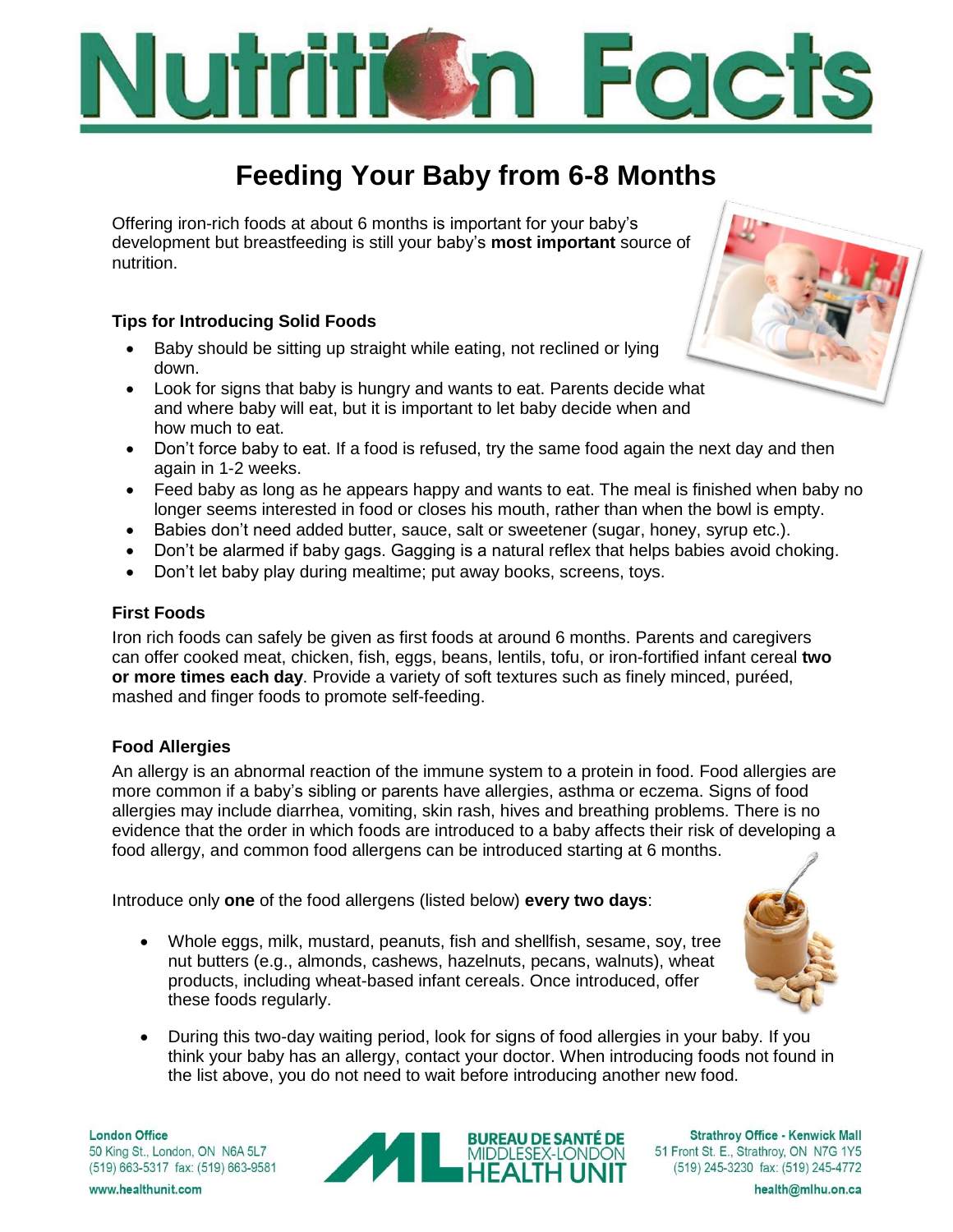# **OC**

## **Feeding Your Baby from 6-8 Months**

Offering iron-rich foods at about 6 months is important for your baby's development but breastfeeding is still your baby's **most important** source of nutrition.

#### **Tips for Introducing Solid Foods**

- Baby should be sitting up straight while eating, not reclined or lying down.
- Look for signs that baby is hungry and wants to eat. Parents decide what and where baby will eat, but it is important to let baby decide when and how much to eat.
- Don't force baby to eat. If a food is refused, try the same food again the next day and then again in 1-2 weeks.
- Feed baby as long as he appears happy and wants to eat. The meal is finished when baby no longer seems interested in food or closes his mouth, rather than when the bowl is empty.
- Babies don't need added butter, sauce, salt or sweetener (sugar, honey, syrup etc.).
- Don't be alarmed if baby gags. Gagging is a natural reflex that helps babies avoid choking.
- Don't let baby play during mealtime; put away books, screens, toys.

#### **First Foods**

Iron rich foods can safely be given as first foods at around 6 months. Parents and caregivers can offer cooked meat, chicken, fish, eggs, beans, lentils, tofu, or iron-fortified infant cereal **two or more times each day**. Provide a variety of soft textures such as finely minced, puréed, mashed and finger foods to promote self-feeding.

#### **Food Allergies**

An allergy is an abnormal reaction of the immune system to a protein in food. Food allergies are more common if a baby's sibling or parents have allergies, asthma or eczema. Signs of food allergies may include diarrhea, vomiting, skin rash, hives and breathing problems. There is no evidence that the order in which foods are introduced to a baby affects their risk of developing a food allergy, and common food allergens can be introduced starting at 6 months.

Introduce only **one** of the food allergens (listed below) **every two days**:

- Whole eggs, milk, mustard, peanuts, fish and shellfish, sesame, soy, tree nut butters (e.g., almonds, cashews, hazelnuts, pecans, walnuts), wheat products, including wheat-based infant cereals. Once introduced, offer these foods regularly.
- During this two-day waiting period, look for signs of food allergies in your baby. If you think your baby has an allergy, contact your doctor. When introducing foods not found in the list above, you do not need to wait before introducing another new food.

**London Office** 50 King St., London, ON N6A 5L7 (519) 663-5317 fax: (519) 663-9581

www.healthunit.com



**Strathrov Office - Kenwick Mall** 51 Front St. E., Strathroy, ON N7G 1Y5 (519) 245-3230 fax: (519) 245-4772